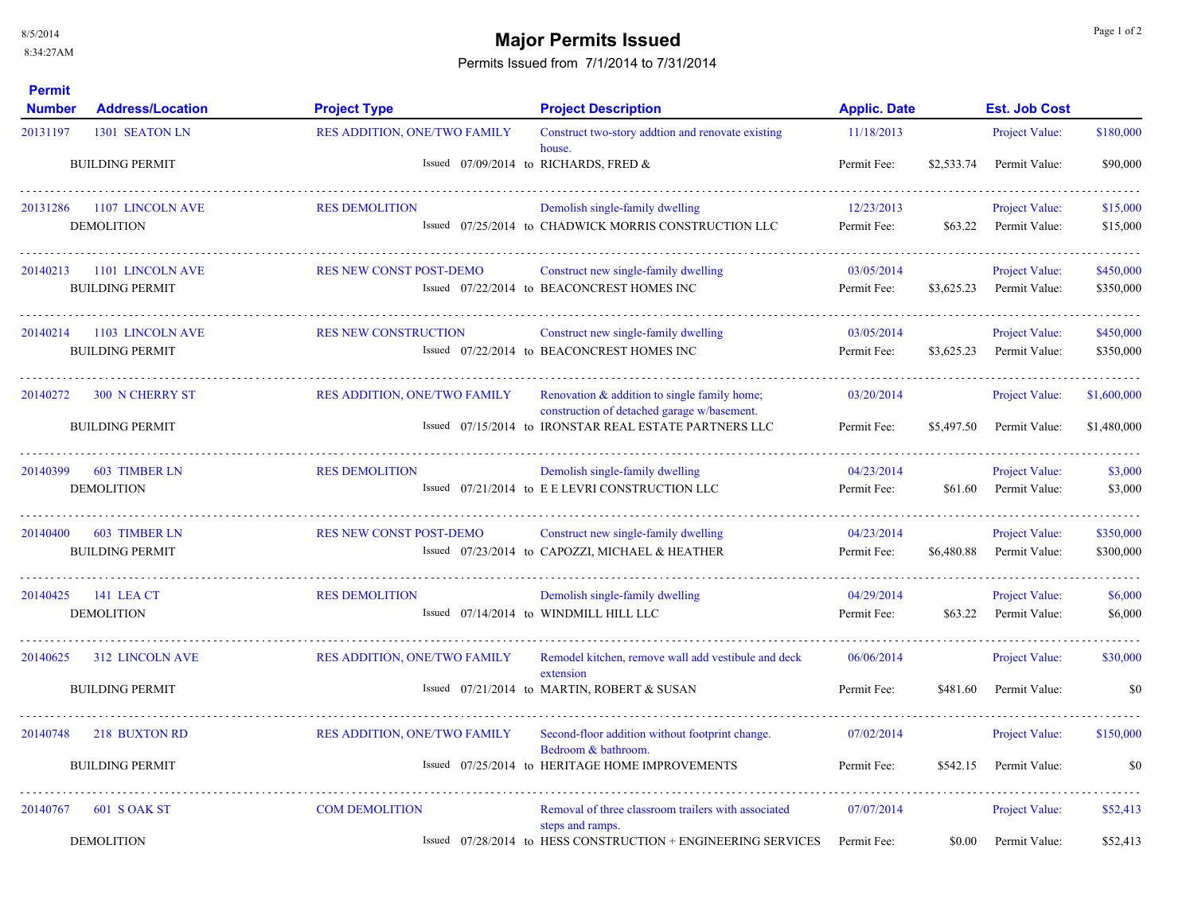## **Major Permits Issued Major Permits Issued**

Permits Issued from 7/1/2014 to 7/31/2014

| <b>Permit</b><br><b>Number</b> | <b>Address/Location</b>                          | <b>Project Type</b>                 | <b>Project Description</b>                                                                                                                            | <b>Applic. Date</b>       |            | <b>Est. Job Cost</b>                   |                            |
|--------------------------------|--------------------------------------------------|-------------------------------------|-------------------------------------------------------------------------------------------------------------------------------------------------------|---------------------------|------------|----------------------------------------|----------------------------|
| 20131197                       | 1301 SEATON LN                                   | <b>RES ADDITION, ONE/TWO FAMILY</b> | Construct two-story addtion and renovate existing                                                                                                     | 11/18/2013                |            | Project Value:                         | \$180,000                  |
|                                | <b>BUILDING PERMIT</b>                           |                                     | house.<br>Issued $07/09/2014$ to RICHARDS, FRED &                                                                                                     | Permit Fee:               | \$2,533.74 | Permit Value:                          | \$90,000                   |
| 20131286                       | 1107 LINCOLN AVE<br><b>DEMOLITION</b>            | <b>RES DEMOLITION</b>               | Demolish single-family dwelling<br>Issued 07/25/2014 to CHADWICK MORRIS CONSTRUCTION LLC                                                              | 12/23/2013<br>Permit Fee: | \$63.22    | Project Value:<br>Permit Value:        | \$15,000<br>\$15,000       |
| 20140213                       | 1101 LINCOLN AVE<br><b>BUILDING PERMIT</b>       | <b>RES NEW CONST POST-DEMO</b>      | Construct new single-family dwelling<br>Issued 07/22/2014 to BEACONCREST HOMES INC                                                                    | 03/05/2014<br>Permit Fee: | \$3,625.23 | Project Value:<br>Permit Value:        | \$450,000<br>\$350,000     |
| 20140214                       | 1103 LINCOLN AVE<br><b>BUILDING PERMIT</b>       | <b>RES NEW CONSTRUCTION</b>         | Construct new single-family dwelling<br>Issued 07/22/2014 to BEACONCREST HOMES INC                                                                    | 03/05/2014<br>Permit Fee: | \$3,625.23 | Project Value:<br>Permit Value:        | \$450,000<br>\$350,000     |
| 20140272                       | <b>300 N CHERRY ST</b><br><b>BUILDING PERMIT</b> | <b>RES ADDITION, ONE/TWO FAMILY</b> | Renovation & addition to single family home;<br>construction of detached garage w/basement.<br>Issued 07/15/2014 to IRONSTAR REAL ESTATE PARTNERS LLC | 03/20/2014<br>Permit Fee: | \$5,497.50 | Project Value:<br>Permit Value:        | \$1,600,000<br>\$1,480,000 |
| 20140399                       | <b>603 TIMBER LN</b><br><b>DEMOLITION</b>        | <b>RES DEMOLITION</b>               | Demolish single-family dwelling<br>Issued 07/21/2014 to EELEVRI CONSTRUCTION LLC                                                                      | 04/23/2014<br>Permit Fee: | \$61.60    | Project Value:<br>Permit Value:        | \$3,000<br>\$3,000         |
| 20140400                       | <b>603 TIMBER LN</b><br><b>BUILDING PERMIT</b>   | <b>RES NEW CONST POST-DEMO</b>      | Construct new single-family dwelling<br>Issued 07/23/2014 to CAPOZZI, MICHAEL & HEATHER                                                               | 04/23/2014<br>Permit Fee: | \$6,480.88 | <b>Project Value:</b><br>Permit Value: | \$350,000<br>\$300,000     |
| 20140425                       | <b>141 LEA CT</b><br><b>DEMOLITION</b>           | <b>RES DEMOLITION</b>               | Demolish single-family dwelling<br>Issued 07/14/2014 to WINDMILL HILL LLC                                                                             | 04/29/2014<br>Permit Fee: | \$63.22    | <b>Project Value:</b><br>Permit Value: | \$6,000<br>\$6,000         |
| 20140625                       | 312 LINCOLN AVE<br><b>BUILDING PERMIT</b>        | <b>RES ADDITION, ONE/TWO FAMILY</b> | Remodel kitchen, remove wall add vestibule and deck<br>extension<br>Issued 07/21/2014 to MARTIN, ROBERT & SUSAN                                       | 06/06/2014<br>Permit Fee: | \$481.60   | Project Value:<br>Permit Value:        | \$30,000<br>\$0            |
| 20140748                       | 218 BUXTON RD                                    | RES ADDITION, ONE/TWO FAMILY        | Second-floor addition without footprint change.<br>Bedroom & bathroom.                                                                                | 07/02/2014                |            | <b>Project Value:</b>                  | \$150,000                  |
|                                | <b>BUILDING PERMIT</b>                           |                                     | Issued 07/25/2014 to HERITAGE HOME IMPROVEMENTS                                                                                                       | Permit Fee:               | \$542.15   | Permit Value:                          | \$0                        |
| 20140767                       | 601 S OAK ST<br><b>DEMOLITION</b>                | <b>COM DEMOLITION</b>               | Removal of three classroom trailers with associated<br>steps and ramps.<br>Issued 07/28/2014 to HESS CONSTRUCTION + ENGINEERING SERVICES              | 07/07/2014<br>Permit Fee: | \$0.00     | <b>Project Value:</b><br>Permit Value: | \$52,413<br>\$52,413       |